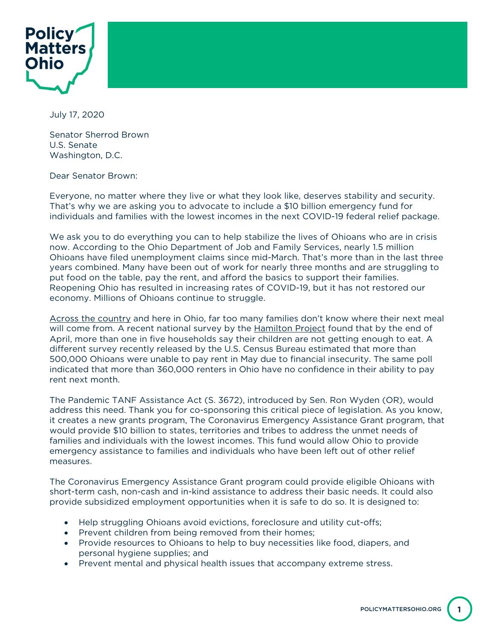

July 17, 2020

Senator Sherrod Brown U.S. Senate Washington, D.C.

Dear Senator Brown:

Everyone, no matter where they live or what they look like, deserves stability and security. That's why we are asking you to advocate to include a \$10 billion emergency fund for individuals and families with the lowest incomes in the next COVID-19 federal relief package.

We ask you to do everything you can to help stabilize the lives of Ohioans who are in crisis now. According to the Ohio Department of Job and Family Services, nearly 1.5 million Ohioans have filed unemployment claims since mid-March. That's more than in the last three years combined. Many have been out of work for nearly three months and are struggling to put food on the table, pay the rent, and afford the basics to support their families. Reopening Ohio has resulted in increasing rates of COVID-19, but it has not restored our economy. Millions of Ohioans continue to struggle.

Across the country and here in Ohio, far too many families don't know where their next meal will come from. A recent national survey by the **Hamilton Project** found that by the end of April, more than one in five households say their children are not getting enough to eat. A different survey recently released by the U.S. Census Bureau estimated that more than 500,000 Ohioans were unable to pay rent in May due to financial insecurity. The same poll indicated that more than 360,000 renters in Ohio have no confidence in their ability to pay rent next month.

The Pandemic TANF Assistance Act (S. 3672), introduced by Sen. Ron Wyden (OR), would address this need. Thank you for co-sponsoring this critical piece of legislation. As you know, it creates a new grants program, The Coronavirus Emergency Assistance Grant program, that would provide \$10 billion to states, territories and tribes to address the unmet needs of families and individuals with the lowest incomes. This fund would allow Ohio to provide emergency assistance to families and individuals who have been left out of other relief measures.

The Coronavirus Emergency Assistance Grant program could provide eligible Ohioans with short-term cash, non-cash and in-kind assistance to address their basic needs. It could also provide subsidized employment opportunities when it is safe to do so. It is designed to:

- Help struggling Ohioans avoid evictions, foreclosure and utility cut-offs;
- Prevent children from being removed from their homes;
- Provide resources to Ohioans to help to buy necessities like food, diapers, and personal hygiene supplies; and
- Prevent mental and physical health issues that accompany extreme stress.